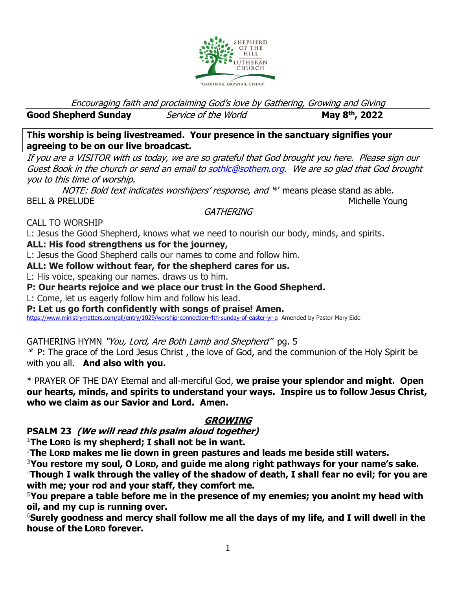

Encouraging faith and proclaiming God's love by Gathering, Growing and Giving

**Good Shepherd Sunday** *Service of the World* **, 2022**

**This worship is being livestreamed. Your presence in the sanctuary signifies your agreeing to be on our live broadcast.** 

If you are a VISITOR with us today, we are so grateful that God brought you here. Please sign our Guest Book in the church or send an email t[o sothlc@sothem.org.](mailto:sothlc@sothem.org) We are so glad that God brought you to this time of worship.

NOTE: Bold text indicates worshipers' response, and \*' means please stand as able. BELL & PRELUDE North and the set of the set of the set of the set of the set of the set of the set of the set of the set of the set of the set of the set of the set of the set of the set of the set of the set of the set of

### **GATHERING**

CALL TO WORSHIP

L: Jesus the Good Shepherd, knows what we need to nourish our body, minds, and spirits.

### **ALL: His food strengthens us for the journey,**

L: Jesus the Good Shepherd calls our names to come and follow him.

**ALL: We follow without fear, for the shepherd cares for us.**

L: His voice, speaking our names. draws us to him.

**P: Our hearts rejoice and we place our trust in the Good Shepherd.**

L: Come, let us eagerly follow him and follow his lead.

**P: Let us go forth confidently with songs of praise! Amen.**

<https://www.ministrymatters.com/all/entry/1029/worship-connection-4th-sunday-of-easter-yr-a>Amended by Pastor Mary Eide

GATHERING HYMN "You, Lord, Are Both Lamb and Shepherd" pg. 5

 $*$  P: The grace of the Lord Jesus Christ, the love of God, and the communion of the Holy Spirit be with you all. **And also with you.**

\* PRAYER OF THE DAY Eternal and all-merciful God, **we praise your splendor and might. Open our hearts, minds, and spirits to understand your ways. Inspire us to follow Jesus Christ, who we claim as our Savior and Lord. Amen.**

## **GROWING**

**PSALM 23 (We will read this psalm aloud together)**

**<sup>1</sup>The LORD is my shepherd; I shall not be in want.**

<sup>2</sup>**The LORD makes me lie down in green pastures and leads me beside still waters.**

**<sup>3</sup>You restore my soul, O LORD, and guide me along right pathways for your name's sake.** <sup>4</sup>**Though I walk through the valley of the shadow of death, I shall fear no evil; for you are with me; your rod and your staff, they comfort me.**

**<sup>5</sup>You prepare a table before me in the presence of my enemies; you anoint my head with oil, and my cup is running over.** 

<sup>6</sup>**Surely goodness and mercy shall follow me all the days of my life, and I will dwell in the house of the LORD forever.**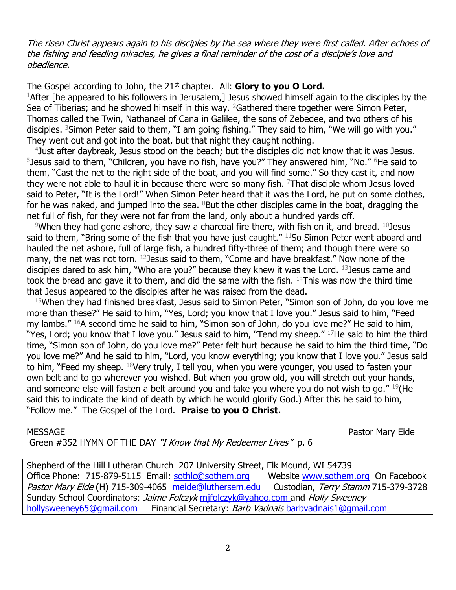#### The risen Christ appears again to his disciples by the sea where they were first called. After echoes of the fishing and feeding miracles, he gives a final reminder of the cost of a disciple's love and obedience.

The Gospel according to John, the 21<sup>st</sup> chapter. All: **Glory to you O Lord.** <sup>1</sup>After [he appeared to his followers in Jerusalem,] Jesus showed himself again to the disciples by the Sea of Tiberias; and he showed himself in this way. <sup>2</sup>Gathered there together were Simon Peter, Thomas called the Twin, Nathanael of Cana in Galilee, the sons of Zebedee, and two others of his disciples. <sup>3</sup>Simon Peter said to them, "I am going fishing." They said to him, "We will go with you." They went out and got into the boat, but that night they caught nothing.

4 Just after daybreak, Jesus stood on the beach; but the disciples did not know that it was Jesus. <sup>5</sup> Jesus said to them, "Children, you have no fish, have you?" They answered him, "No." <sup>6</sup>He said to them, "Cast the net to the right side of the boat, and you will find some." So they cast it, and now they were not able to haul it in because there were so many fish. <sup>7</sup>That disciple whom Jesus loved said to Peter, "It is the Lord!" When Simon Peter heard that it was the Lord, he put on some clothes, for he was naked, and jumped into the sea.  $8$ But the other disciples came in the boat, dragging the net full of fish, for they were not far from the land, only about a hundred yards off.

<sup>9</sup>When they had gone ashore, they saw a charcoal fire there, with fish on it, and bread. <sup>10</sup> Jesus said to them, "Bring some of the fish that you have just caught."  $11$ So Simon Peter went aboard and hauled the net ashore, full of large fish, a hundred fifty-three of them; and though there were so many, the net was not torn. <sup>12</sup> Jesus said to them, "Come and have breakfast." Now none of the disciples dared to ask him, "Who are you?" because they knew it was the Lord. 13 Jesus came and took the bread and gave it to them, and did the same with the fish.  $14$ This was now the third time that Jesus appeared to the disciples after he was raised from the dead.

<sup>15</sup>When they had finished breakfast, Jesus said to Simon Peter, "Simon son of John, do you love me more than these?" He said to him, "Yes, Lord; you know that I love you." Jesus said to him, "Feed my lambs." <sup>16</sup>A second time he said to him, "Simon son of John, do you love me?" He said to him, "Yes, Lord; you know that I love you." Jesus said to him, "Tend my sheep." 17He said to him the third time, "Simon son of John, do you love me?" Peter felt hurt because he said to him the third time, "Do you love me?" And he said to him, "Lord, you know everything; you know that I love you." Jesus said to him, "Feed my sheep. <sup>18</sup>Very truly, I tell you, when you were younger, you used to fasten your own belt and to go wherever you wished. But when you grow old, you will stretch out your hands, and someone else will fasten a belt around you and take you where you do not wish to go." 19 (He said this to indicate the kind of death by which he would glorify God.) After this he said to him, "Follow me." The Gospel of the Lord. **Praise to you O Christ.**

MESSAGE Pastor Mary Eide

Green #352 HYMN OF THE DAY "I Know that My Redeemer Lives" p. 6

Shepherd of the Hill Lutheran Church 207 University Street, Elk Mound, WI 54739 Office Phone: 715-879-5115 Email: [sothlc@sothem.org](mailto:sothlc@sothem.org) Website [www.sothem.org](http://www.sothem.org/) On Facebook Pastor Mary Eide (H) 715-309-4065 [meide@luthersem.edu](mailto:meide@luthersem.edu) Custodian, Terry Stamm 715-379-3728 Sunday School Coordinators: *Jaime Folczyk* mifolczyk@yahoo.com and Holly Sweeney [hollysweeney65@gmail.com](mailto:hollysweeney65@gmail.com) Financial Secretary: *Barb Vadnais* barbyadnais1@gmail.com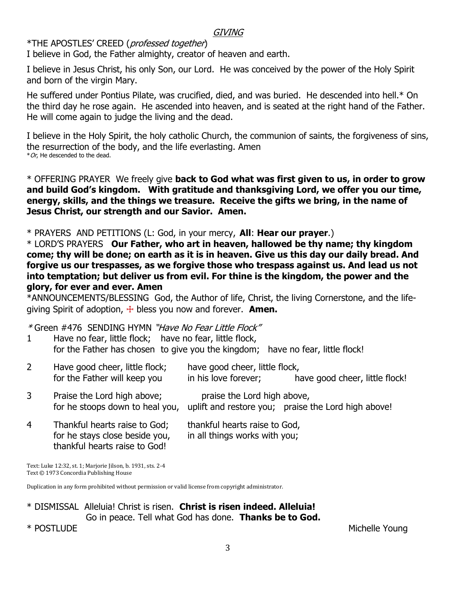### GIVING

### \*THE APOSTLES' CREED (professed together)

I believe in God, the Father almighty, creator of heaven and earth.

I believe in Jesus Christ, his only Son, our Lord. He was conceived by the power of the Holy Spirit and born of the virgin Mary.

He suffered under Pontius Pilate, was crucified, died, and was buried. He descended into hell.\* On the third day he rose again. He ascended into heaven, and is seated at the right hand of the Father. He will come again to judge the living and the dead.

I believe in the Holy Spirit, the holy catholic Church, the communion of saints, the forgiveness of sins, the resurrection of the body, and the life everlasting. Amen  $*$  Or, He descended to the dead.

\* OFFERING PRAYER We freely give **back to God what was first given to us, in order to grow and build God's kingdom. With gratitude and thanksgiving Lord, we offer you our time, energy, skills, and the things we treasure. Receive the gifts we bring, in the name of Jesus Christ, our strength and our Savior. Amen.** 

\* PRAYERS AND PETITIONS (L: God, in your mercy, **All**: **Hear our prayer**.)

\* LORD'S PRAYERS **Our Father, who art in heaven, hallowed be thy name; thy kingdom come; thy will be done; on earth as it is in heaven. Give us this day our daily bread. And forgive us our trespasses, as we forgive those who trespass against us. And lead us not into temptation; but deliver us from evil. For thine is the kingdom, the power and the glory, for ever and ever. Amen**

\*ANNOUNCEMENTS/BLESSING God, the Author of life, Christ, the living Cornerstone, and the lifegiving Spirit of adoption, ☩ bless you now and forever. **Amen.**

\* Green #476 SENDING HYMN "Have No Fear Little Flock"

1 Have no fear, little flock; have no fear, little flock, for the Father has chosen to give you the kingdom; have no fear, little flock!

| $\overline{2}$ | Have good cheer, little flock;<br>for the Father will keep you  | have good cheer, little flock,<br>in his love forever;         | have good cheer, little flock!                      |
|----------------|-----------------------------------------------------------------|----------------------------------------------------------------|-----------------------------------------------------|
| 3              | Praise the Lord high above;<br>for he stoops down to heal you,  | praise the Lord high above,                                    | uplift and restore you; praise the Lord high above! |
| $\overline{4}$ | Thankful hearts raise to God;<br>for he stays close beside you, | thankful hearts raise to God,<br>in all things works with you; |                                                     |

Text: Luke 12:32, st. 1; Marjorie Jilson, b. 1931, sts. 2-4 Text © 1973 Concordia Publishing House

thankful hearts raise to God!

Duplication in any form prohibited without permission or valid license from copyright administrator.

\* DISMISSAL Alleluia! Christ is risen. **Christ is risen indeed. Alleluia!** Go in peace. Tell what God has done. **Thanks be to God.**

\* POSTLUDE Michelle Young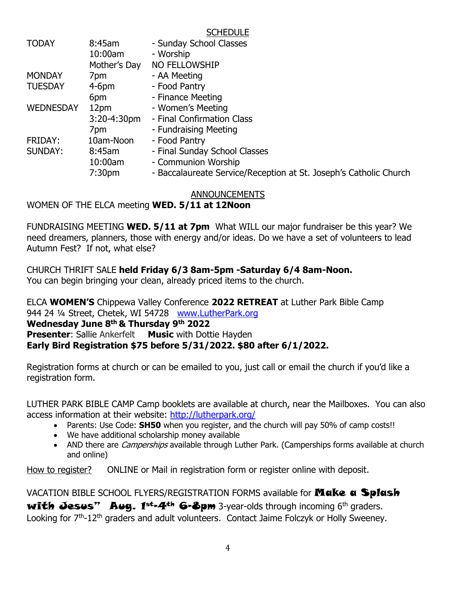|                  |                    | <b>JUI ILDULL</b>                                                 |
|------------------|--------------------|-------------------------------------------------------------------|
| <b>TODAY</b>     | 8:45am             | - Sunday School Classes                                           |
|                  | 10:00am            | - Worship                                                         |
|                  | Mother's Day       | NO FELLOWSHIP                                                     |
| <b>MONDAY</b>    | 7pm                | - AA Meeting                                                      |
| <b>TUESDAY</b>   | $4-6$ pm           | - Food Pantry                                                     |
|                  | 6pm                | - Finance Meeting                                                 |
| <b>WEDNESDAY</b> | 12pm               | - Women's Meeting                                                 |
|                  | $3:20 - 4:30$ pm   | - Final Confirmation Class                                        |
|                  | 7pm                | - Fundraising Meeting                                             |
| FRIDAY:          | 10am-Noon          | - Food Pantry                                                     |
| <b>SUNDAY:</b>   | $8:45$ am          | - Final Sunday School Classes                                     |
|                  | 10:00am            | - Communion Worship                                               |
|                  | 7:30 <sub>pm</sub> | - Baccalaureate Service/Reception at St. Joseph's Catholic Church |
|                  |                    |                                                                   |

CCHEDULE<sub></sub>

#### ANNOUNCEMENTS

WOMEN OF THE ELCA meeting **WED. 5/11 at 12Noon**

FUNDRAISING MEETING **WED. 5/11 at 7pm** What WILL our major fundraiser be this year? We need dreamers, planners, those with energy and/or ideas. Do we have a set of volunteers to lead Autumn Fest? If not, what else?

CHURCH THRIFT SALE **held Friday 6/3 8am-5pm -Saturday 6/4 8am-Noon.** You can begin bringing your clean, already priced items to the church.

ELCA **WOMEN'S** Chippewa Valley Conference **2022 RETREAT** at Luther Park Bible Camp 944 24 ¼ Street, Chetek, WI 54728 [www.LutherPark.org](http://www.lutherpark.org/) **Wednesday June 8th & Thursday 9th 2022 Presenter: Sallie Ankerfelt Music with Dottie Hayden Early Bird Registration \$75 before 5/31/2022. \$80 after 6/1/2022.** 

Registration forms at church or can be emailed to you, just call or email the church if you'd like a registration form.

LUTHER PARK BIBLE CAMP Camp booklets are available at church, near the Mailboxes. You can also access information at their website:<http://lutherpark.org/>

- Parents: Use Code: **SH50** when you register, and the church will pay 50% of camp costs!!
- We have additional scholarship money available
- AND there are *Camperships* available through Luther Park. (Camperships forms available at church and online)

How to register? ONLINE or Mail in registration form or register online with deposit.

VACATION BIBLE SCHOOL FLYERS/REGISTRATION FORMS available for **Make a Splash** with Jesus" Aug.  $1^{st}$ -4<sup>th</sup> 6-8pm 3-year-olds through incoming 6<sup>th</sup> graders. Looking for  $7<sup>th</sup>$ -12<sup>th</sup> graders and adult volunteers. Contact Jaime Folczyk or Holly Sweeney.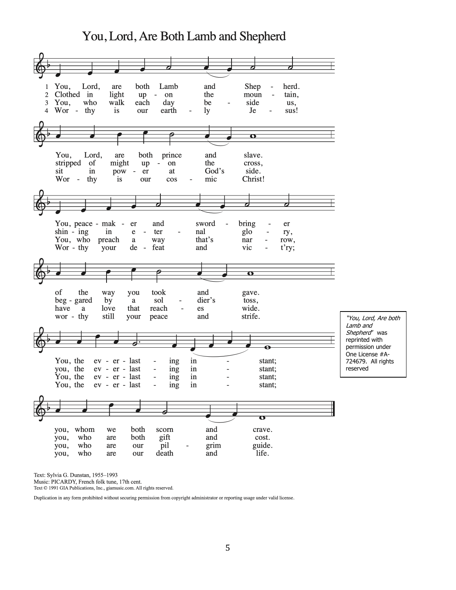# You, Lord, Are Both Lamb and Shepherd



Text: Sylvia G. Dunstan, 1955-1993

Music: PICARDY, French folk tune, 17th cent.

Text © 1991 GIA Publications, Inc., giamusic.com. All rights reserved.

Duplication in any form prohibited without securing permission from copyright administrator or reporting usage under valid license.